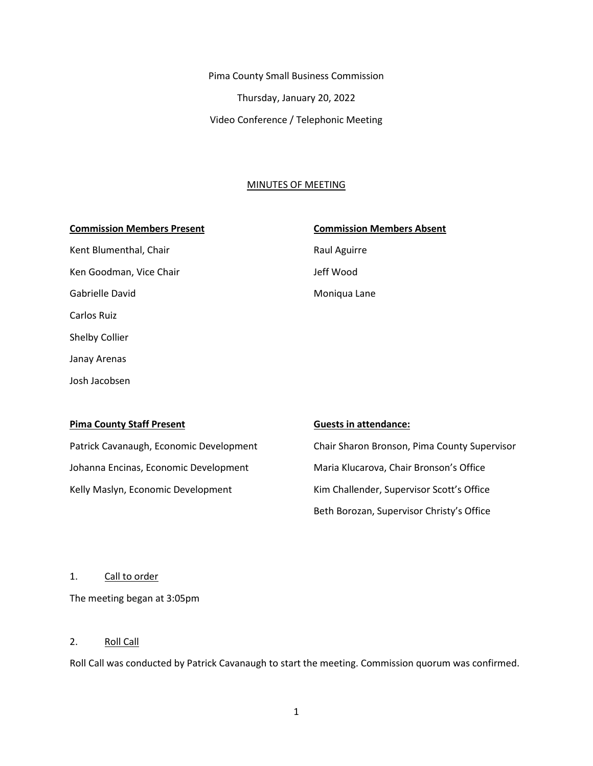Pima County Small Business Commission Thursday, January 20, 2022 Video Conference / Telephonic Meeting

#### MINUTES OF MEETING

#### **Commission Members Present Commission Members Absent**

Kent Blumenthal, Chair **Raul Aguirre** Raul Aguirre Ken Goodman, Vice Chair **Jeff Wood** Gabrielle David **Moniqua Lane** Carlos Ruiz Shelby Collier Janay Arenas Josh Jacobsen

| <b>Pima County Staff Present</b>        | <b>Guests in attendance:</b>                 |
|-----------------------------------------|----------------------------------------------|
| Patrick Cavanaugh, Economic Development | Chair Sharon Bronson, Pima County Supervisor |
| Johanna Encinas, Economic Development   | Maria Klucarova, Chair Bronson's Office      |
| Kelly Maslyn, Economic Development      | Kim Challender, Supervisor Scott's Office    |
|                                         | Beth Borozan, Supervisor Christy's Office    |

1. Call to order

The meeting began at 3:05pm

#### 2. Roll Call

Roll Call was conducted by Patrick Cavanaugh to start the meeting. Commission quorum was confirmed.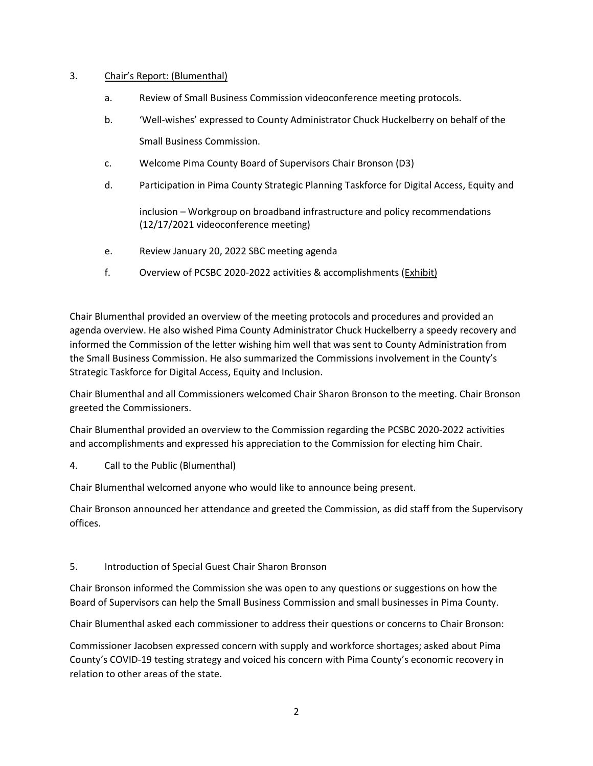#### 3. Chair's Report: (Blumenthal)

- a. Review of Small Business Commission videoconference meeting protocols.
- b. 'Well-wishes' expressed to County Administrator Chuck Huckelberry on behalf of the Small Business Commission.
- c. Welcome Pima County Board of Supervisors Chair Bronson (D3)
- d. Participation in Pima County Strategic Planning Taskforce for Digital Access, Equity and

inclusion – Workgroup on broadband infrastructure and policy recommendations (12/17/2021 videoconference meeting)

- e. Review January 20, 2022 SBC meeting agenda
- f. Overview of PCSBC 2020-2022 activities & accomplishments (Exhibit)

Chair Blumenthal provided an overview of the meeting protocols and procedures and provided an agenda overview. He also wished Pima County Administrator Chuck Huckelberry a speedy recovery and informed the Commission of the letter wishing him well that was sent to County Administration from the Small Business Commission. He also summarized the Commissions involvement in the County's Strategic Taskforce for Digital Access, Equity and Inclusion.

Chair Blumenthal and all Commissioners welcomed Chair Sharon Bronson to the meeting. Chair Bronson greeted the Commissioners.

Chair Blumenthal provided an overview to the Commission regarding the PCSBC 2020-2022 activities and accomplishments and expressed his appreciation to the Commission for electing him Chair.

4. Call to the Public (Blumenthal)

Chair Blumenthal welcomed anyone who would like to announce being present.

Chair Bronson announced her attendance and greeted the Commission, as did staff from the Supervisory offices.

## 5. Introduction of Special Guest Chair Sharon Bronson

Chair Bronson informed the Commission she was open to any questions or suggestions on how the Board of Supervisors can help the Small Business Commission and small businesses in Pima County.

Chair Blumenthal asked each commissioner to address their questions or concerns to Chair Bronson:

Commissioner Jacobsen expressed concern with supply and workforce shortages; asked about Pima County's COVID-19 testing strategy and voiced his concern with Pima County's economic recovery in relation to other areas of the state.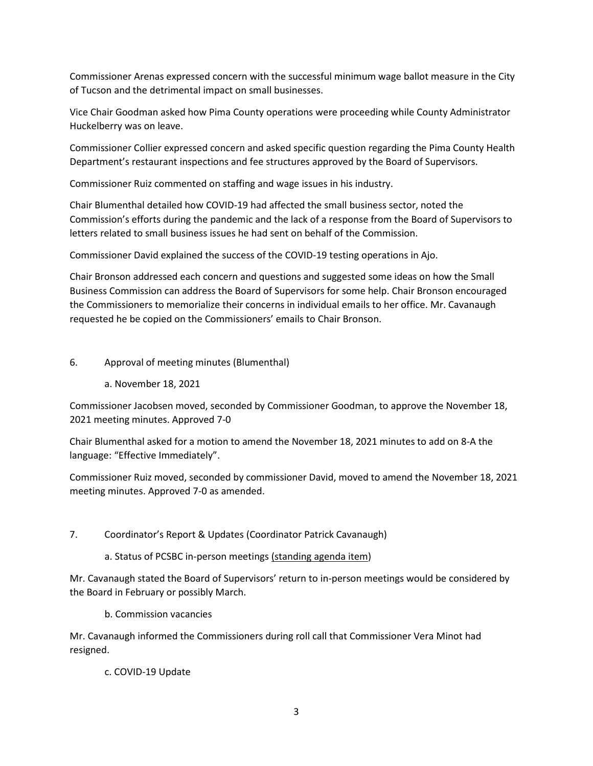Commissioner Arenas expressed concern with the successful minimum wage ballot measure in the City of Tucson and the detrimental impact on small businesses.

Vice Chair Goodman asked how Pima County operations were proceeding while County Administrator Huckelberry was on leave.

Commissioner Collier expressed concern and asked specific question regarding the Pima County Health Department's restaurant inspections and fee structures approved by the Board of Supervisors.

Commissioner Ruiz commented on staffing and wage issues in his industry.

Chair Blumenthal detailed how COVID-19 had affected the small business sector, noted the Commission's efforts during the pandemic and the lack of a response from the Board of Supervisors to letters related to small business issues he had sent on behalf of the Commission.

Commissioner David explained the success of the COVID-19 testing operations in Ajo.

Chair Bronson addressed each concern and questions and suggested some ideas on how the Small Business Commission can address the Board of Supervisors for some help. Chair Bronson encouraged the Commissioners to memorialize their concerns in individual emails to her office. Mr. Cavanaugh requested he be copied on the Commissioners' emails to Chair Bronson.

## 6. Approval of meeting minutes (Blumenthal)

a. November 18, 2021

Commissioner Jacobsen moved, seconded by Commissioner Goodman, to approve the November 18, 2021 meeting minutes. Approved 7-0

Chair Blumenthal asked for a motion to amend the November 18, 2021 minutes to add on 8-A the language: "Effective Immediately".

Commissioner Ruiz moved, seconded by commissioner David, moved to amend the November 18, 2021 meeting minutes. Approved 7-0 as amended.

- 7. Coordinator's Report & Updates (Coordinator Patrick Cavanaugh)
	- a. Status of PCSBC in-person meetings (standing agenda item)

Mr. Cavanaugh stated the Board of Supervisors' return to in-person meetings would be considered by the Board in February or possibly March.

b. Commission vacancies

Mr. Cavanaugh informed the Commissioners during roll call that Commissioner Vera Minot had resigned.

c. COVID-19 Update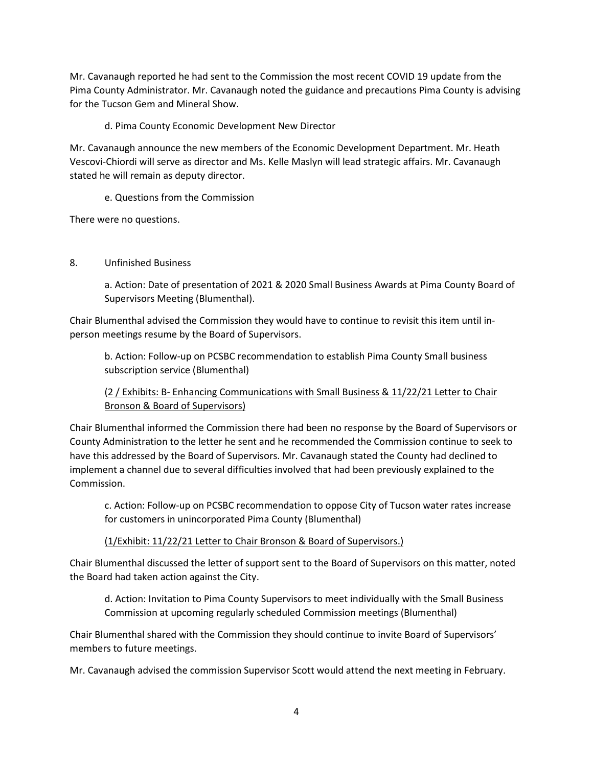Mr. Cavanaugh reported he had sent to the Commission the most recent COVID 19 update from the Pima County Administrator. Mr. Cavanaugh noted the guidance and precautions Pima County is advising for the Tucson Gem and Mineral Show.

d. Pima County Economic Development New Director

Mr. Cavanaugh announce the new members of the Economic Development Department. Mr. Heath Vescovi-Chiordi will serve as director and Ms. Kelle Maslyn will lead strategic affairs. Mr. Cavanaugh stated he will remain as deputy director.

e. Questions from the Commission

There were no questions.

## 8. Unfinished Business

a. Action: Date of presentation of 2021 & 2020 Small Business Awards at Pima County Board of Supervisors Meeting (Blumenthal).

Chair Blumenthal advised the Commission they would have to continue to revisit this item until inperson meetings resume by the Board of Supervisors.

b. Action: Follow-up on PCSBC recommendation to establish Pima County Small business subscription service (Blumenthal)

(2 / Exhibits: B- Enhancing Communications with Small Business & 11/22/21 Letter to Chair Bronson & Board of Supervisors)

Chair Blumenthal informed the Commission there had been no response by the Board of Supervisors or County Administration to the letter he sent and he recommended the Commission continue to seek to have this addressed by the Board of Supervisors. Mr. Cavanaugh stated the County had declined to implement a channel due to several difficulties involved that had been previously explained to the Commission.

c. Action: Follow-up on PCSBC recommendation to oppose City of Tucson water rates increase for customers in unincorporated Pima County (Blumenthal)

(1/Exhibit: 11/22/21 Letter to Chair Bronson & Board of Supervisors.)

Chair Blumenthal discussed the letter of support sent to the Board of Supervisors on this matter, noted the Board had taken action against the City.

d. Action: Invitation to Pima County Supervisors to meet individually with the Small Business Commission at upcoming regularly scheduled Commission meetings (Blumenthal)

Chair Blumenthal shared with the Commission they should continue to invite Board of Supervisors' members to future meetings.

Mr. Cavanaugh advised the commission Supervisor Scott would attend the next meeting in February.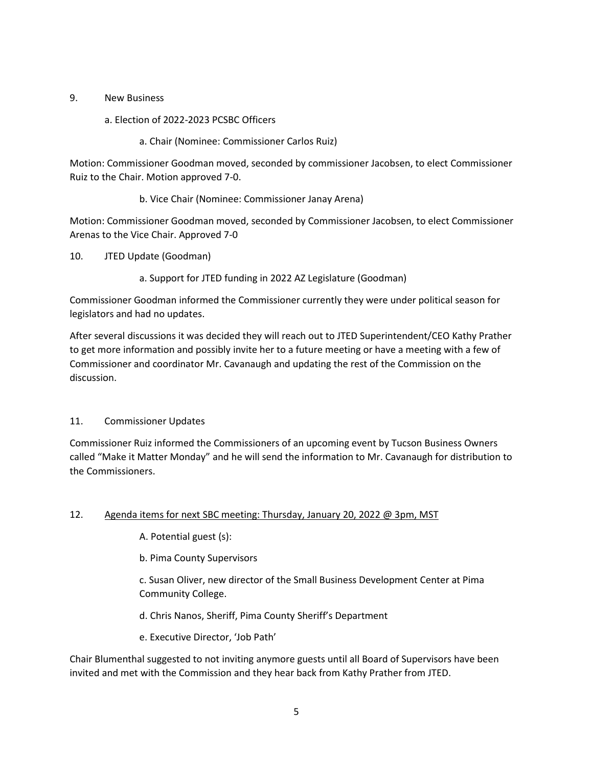## 9. New Business

- a. Election of 2022-2023 PCSBC Officers
	- a. Chair (Nominee: Commissioner Carlos Ruiz)

Motion: Commissioner Goodman moved, seconded by commissioner Jacobsen, to elect Commissioner Ruiz to the Chair. Motion approved 7-0.

b. Vice Chair (Nominee: Commissioner Janay Arena)

Motion: Commissioner Goodman moved, seconded by Commissioner Jacobsen, to elect Commissioner Arenas to the Vice Chair. Approved 7-0

- 10. JTED Update (Goodman)
	- a. Support for JTED funding in 2022 AZ Legislature (Goodman)

Commissioner Goodman informed the Commissioner currently they were under political season for legislators and had no updates.

After several discussions it was decided they will reach out to JTED Superintendent/CEO Kathy Prather to get more information and possibly invite her to a future meeting or have a meeting with a few of Commissioner and coordinator Mr. Cavanaugh and updating the rest of the Commission on the discussion.

## 11. Commissioner Updates

Commissioner Ruiz informed the Commissioners of an upcoming event by Tucson Business Owners called "Make it Matter Monday" and he will send the information to Mr. Cavanaugh for distribution to the Commissioners.

## 12. Agenda items for next SBC meeting: Thursday, January 20, 2022 @ 3pm, MST

A. Potential guest (s):

b. Pima County Supervisors

c. Susan Oliver, new director of the Small Business Development Center at Pima Community College.

d. Chris Nanos, Sheriff, Pima County Sheriff's Department

e. Executive Director, 'Job Path'

Chair Blumenthal suggested to not inviting anymore guests until all Board of Supervisors have been invited and met with the Commission and they hear back from Kathy Prather from JTED.